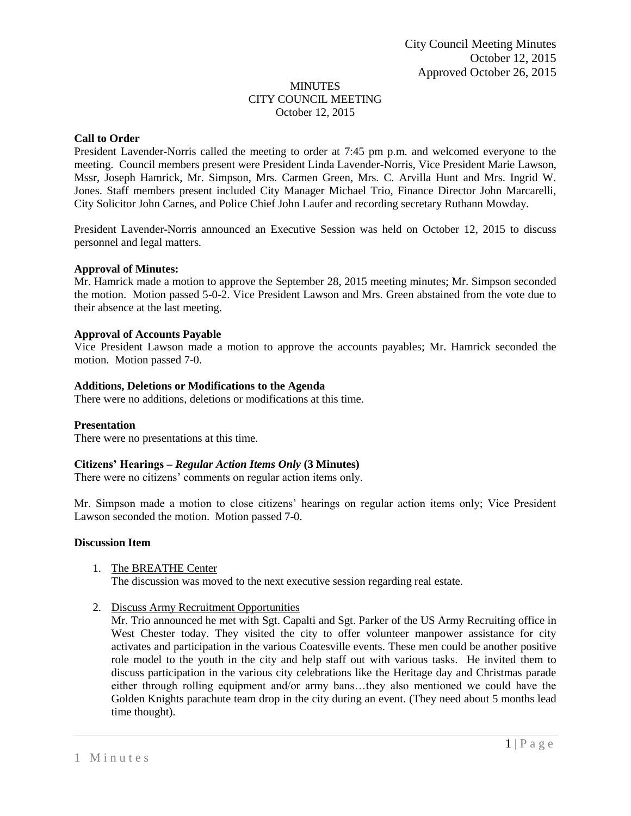#### MINUTES CITY COUNCIL MEETING October 12, 2015

## **Call to Order**

President Lavender-Norris called the meeting to order at 7:45 pm p.m. and welcomed everyone to the meeting. Council members present were President Linda Lavender-Norris, Vice President Marie Lawson, Mssr, Joseph Hamrick, Mr. Simpson, Mrs. Carmen Green, Mrs. C. Arvilla Hunt and Mrs. Ingrid W. Jones. Staff members present included City Manager Michael Trio, Finance Director John Marcarelli, City Solicitor John Carnes, and Police Chief John Laufer and recording secretary Ruthann Mowday.

President Lavender-Norris announced an Executive Session was held on October 12, 2015 to discuss personnel and legal matters.

#### **Approval of Minutes:**

Mr. Hamrick made a motion to approve the September 28, 2015 meeting minutes; Mr. Simpson seconded the motion. Motion passed 5-0-2. Vice President Lawson and Mrs. Green abstained from the vote due to their absence at the last meeting.

#### **Approval of Accounts Payable**

Vice President Lawson made a motion to approve the accounts payables; Mr. Hamrick seconded the motion. Motion passed 7-0.

#### **Additions, Deletions or Modifications to the Agenda**

There were no additions, deletions or modifications at this time.

## **Presentation**

There were no presentations at this time.

## **Citizens' Hearings –** *Regular Action Items Only* **(3 Minutes)**

There were no citizens' comments on regular action items only.

Mr. Simpson made a motion to close citizens' hearings on regular action items only; Vice President Lawson seconded the motion. Motion passed 7-0.

#### **Discussion Item**

- 1. The BREATHE Center The discussion was moved to the next executive session regarding real estate.
- 2. Discuss Army Recruitment Opportunities

Mr. Trio announced he met with Sgt. Capalti and Sgt. Parker of the US Army Recruiting office in West Chester today. They visited the city to offer volunteer manpower assistance for city activates and participation in the various Coatesville events. These men could be another positive role model to the youth in the city and help staff out with various tasks. He invited them to discuss participation in the various city celebrations like the Heritage day and Christmas parade either through rolling equipment and/or army bans…they also mentioned we could have the Golden Knights parachute team drop in the city during an event. (They need about 5 months lead time thought).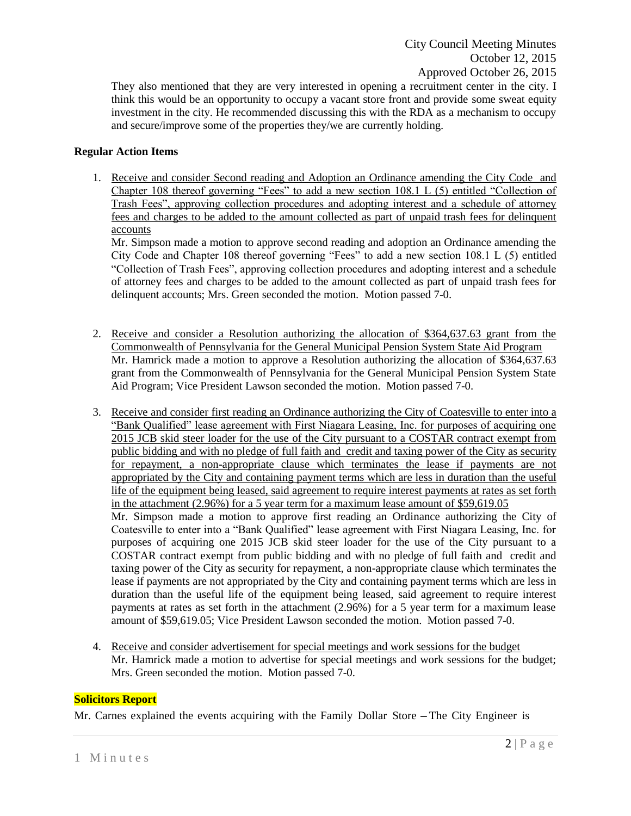They also mentioned that they are very interested in opening a recruitment center in the city. I think this would be an opportunity to occupy a vacant store front and provide some sweat equity investment in the city. He recommended discussing this with the RDA as a mechanism to occupy and secure/improve some of the properties they/we are currently holding.

## **Regular Action Items**

1. Receive and consider Second reading and Adoption an Ordinance amending the City Code and Chapter 108 thereof governing "Fees" to add a new section 108.1 L (5) entitled "Collection of Trash Fees", approving collection procedures and adopting interest and a schedule of attorney fees and charges to be added to the amount collected as part of unpaid trash fees for delinquent accounts

Mr. Simpson made a motion to approve second reading and adoption an Ordinance amending the City Code and Chapter 108 thereof governing "Fees" to add a new section 108.1 L (5) entitled "Collection of Trash Fees", approving collection procedures and adopting interest and a schedule of attorney fees and charges to be added to the amount collected as part of unpaid trash fees for delinquent accounts; Mrs. Green seconded the motion. Motion passed 7-0.

- 2. Receive and consider a Resolution authorizing the allocation of \$364,637.63 grant from the Commonwealth of Pennsylvania for the General Municipal Pension System State Aid Program Mr. Hamrick made a motion to approve a Resolution authorizing the allocation of \$364,637.63 grant from the Commonwealth of Pennsylvania for the General Municipal Pension System State Aid Program; Vice President Lawson seconded the motion. Motion passed 7-0.
- 3. Receive and consider first reading an Ordinance authorizing the City of Coatesville to enter into a "Bank Qualified" lease agreement with First Niagara Leasing, Inc. for purposes of acquiring one 2015 JCB skid steer loader for the use of the City pursuant to a COSTAR contract exempt from public bidding and with no pledge of full faith and credit and taxing power of the City as security for repayment, a non-appropriate clause which terminates the lease if payments are not appropriated by the City and containing payment terms which are less in duration than the useful life of the equipment being leased, said agreement to require interest payments at rates as set forth in the attachment (2.96%) for a 5 year term for a maximum lease amount of \$59,619.05 Mr. Simpson made a motion to approve first reading an Ordinance authorizing the City of Coatesville to enter into a "Bank Qualified" lease agreement with First Niagara Leasing, Inc. for purposes of acquiring one 2015 JCB skid steer loader for the use of the City pursuant to a COSTAR contract exempt from public bidding and with no pledge of full faith and credit and taxing power of the City as security for repayment, a non-appropriate clause which terminates the lease if payments are not appropriated by the City and containing payment terms which are less in duration than the useful life of the equipment being leased, said agreement to require interest payments at rates as set forth in the attachment (2.96%) for a 5 year term for a maximum lease amount of \$59,619.05; Vice President Lawson seconded the motion. Motion passed 7-0.
- 4. Receive and consider advertisement for special meetings and work sessions for the budget Mr. Hamrick made a motion to advertise for special meetings and work sessions for the budget; Mrs. Green seconded the motion. Motion passed 7-0.

## **Solicitors Report**

Mr. Carnes explained the events acquiring with the Family Dollar Store -The City Engineer is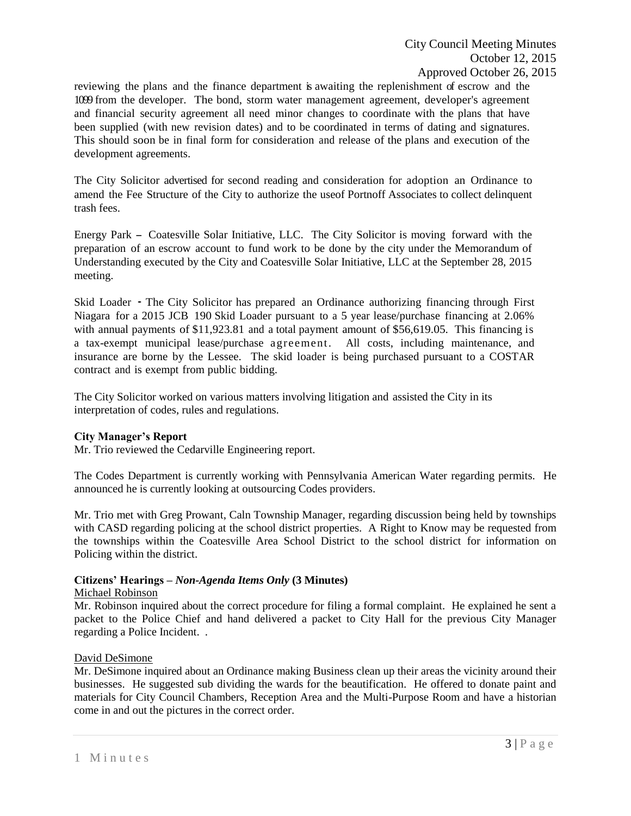reviewing the plans and the finance department is awaiting the replenishment of escrow and the 1099 from the developer. The bond, storm water management agreement, developer's agreement and financial security agreement all need minor changes to coordinate with the plans that have been supplied (with new revision dates) and to be coordinated in terms of dating and signatures. This should soon be in final form for consideration and release of the plans and execution of the development agreements.

The City Solicitor advertised for second reading and consideration for adoption an Ordinance to amend the Fee Structure of the City to authorize the useof Portnoff Associates to collect delinquent trash fees.

Energy Park - Coatesville Solar Initiative, LLC. The City Solicitor is moving forward with the preparation of an escrow account to fund work to be done by the city under the Memorandum of Understanding executed by the City and Coatesville Solar Initiative, LLC at the September 28, 2015 meeting.

Skid Loader ·The City Solicitor has prepared an Ordinance authorizing financing through First Niagara for a 2015 JCB 190 Skid Loader pursuant to a 5 year lease/purchase financing at 2.06% with annual payments of \$11,923.81 and a total payment amount of \$56,619.05. This financing is a tax-exempt municipal lease/purchase agreement. All costs, including maintenance, and insurance are borne by the Lessee. The skid loader is being purchased pursuant to a COSTAR contract and is exempt from public bidding.

The City Solicitor worked on various matters involving litigation and assisted the City in its interpretation of codes, rules and regulations.

## **City Manager's Report**

Mr. Trio reviewed the Cedarville Engineering report.

The Codes Department is currently working with Pennsylvania American Water regarding permits. He announced he is currently looking at outsourcing Codes providers.

Mr. Trio met with Greg Prowant, Caln Township Manager, regarding discussion being held by townships with CASD regarding policing at the school district properties. A Right to Know may be requested from the townships within the Coatesville Area School District to the school district for information on Policing within the district.

# **Citizens' Hearings –** *Non-Agenda Items Only* **(3 Minutes)**

## Michael Robinson

Mr. Robinson inquired about the correct procedure for filing a formal complaint. He explained he sent a packet to the Police Chief and hand delivered a packet to City Hall for the previous City Manager regarding a Police Incident. .

## David DeSimone

Mr. DeSimone inquired about an Ordinance making Business clean up their areas the vicinity around their businesses. He suggested sub dividing the wards for the beautification. He offered to donate paint and materials for City Council Chambers, Reception Area and the Multi-Purpose Room and have a historian come in and out the pictures in the correct order.